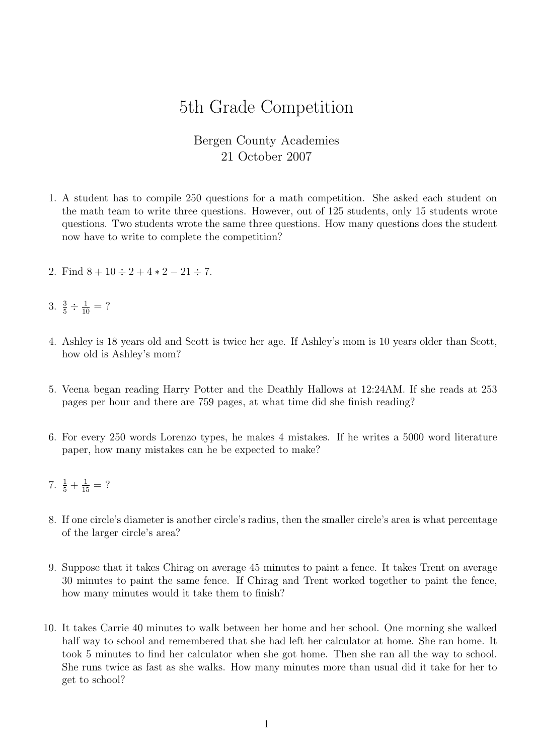## 5th Grade Competition

## Bergen County Academies 21 October 2007

- 1. A student has to compile 250 questions for a math competition. She asked each student on the math team to write three questions. However, out of 125 students, only 15 students wrote questions. Two students wrote the same three questions. How many questions does the student now have to write to complete the competition?
- 2. Find  $8 + 10 \div 2 + 4 * 2 21 \div 7$ .
- 3.  $\frac{3}{5} \div \frac{1}{10} = ?$
- 4. Ashley is 18 years old and Scott is twice her age. If Ashley's mom is 10 years older than Scott, how old is Ashley's mom?
- 5. Veena began reading Harry Potter and the Deathly Hallows at 12:24AM. If she reads at 253 pages per hour and there are 759 pages, at what time did she finish reading?
- 6. For every 250 words Lorenzo types, he makes 4 mistakes. If he writes a 5000 word literature paper, how many mistakes can he be expected to make?
- 7.  $\frac{1}{5} + \frac{1}{15} = ?$
- 8. If one circle's diameter is another circle's radius, then the smaller circle's area is what percentage of the larger circle's area?
- 9. Suppose that it takes Chirag on average 45 minutes to paint a fence. It takes Trent on average 30 minutes to paint the same fence. If Chirag and Trent worked together to paint the fence, how many minutes would it take them to finish?
- 10. It takes Carrie 40 minutes to walk between her home and her school. One morning she walked half way to school and remembered that she had left her calculator at home. She ran home. It took 5 minutes to find her calculator when she got home. Then she ran all the way to school. She runs twice as fast as she walks. How many minutes more than usual did it take for her to get to school?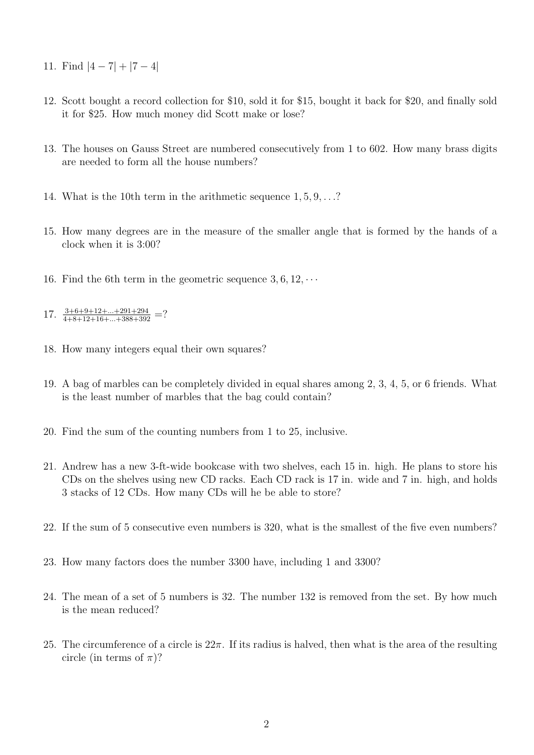- 11. Find  $|4-7|+|7-4|$
- 12. Scott bought a record collection for \$10, sold it for \$15, bought it back for \$20, and finally sold it for \$25. How much money did Scott make or lose?
- 13. The houses on Gauss Street are numbered consecutively from 1 to 602. How many brass digits are needed to form all the house numbers?
- 14. What is the 10th term in the arithmetic sequence 1, 5, 9, . . .?
- 15. How many degrees are in the measure of the smaller angle that is formed by the hands of a clock when it is 3:00?
- 16. Find the 6th term in the geometric sequence  $3, 6, 12, \cdots$
- 17.  $\frac{3+6+9+12+\ldots+291+294}{4+8+12+16+\ldots+388+392}$  =?
- 18. How many integers equal their own squares?
- 19. A bag of marbles can be completely divided in equal shares among 2, 3, 4, 5, or 6 friends. What is the least number of marbles that the bag could contain?
- 20. Find the sum of the counting numbers from 1 to 25, inclusive.
- 21. Andrew has a new 3-ft-wide bookcase with two shelves, each 15 in. high. He plans to store his CDs on the shelves using new CD racks. Each CD rack is 17 in. wide and 7 in. high, and holds 3 stacks of 12 CDs. How many CDs will he be able to store?
- 22. If the sum of 5 consecutive even numbers is 320, what is the smallest of the five even numbers?
- 23. How many factors does the number 3300 have, including 1 and 3300?
- 24. The mean of a set of 5 numbers is 32. The number 132 is removed from the set. By how much is the mean reduced?
- 25. The circumference of a circle is  $22\pi$ . If its radius is halved, then what is the area of the resulting circle (in terms of  $\pi$ )?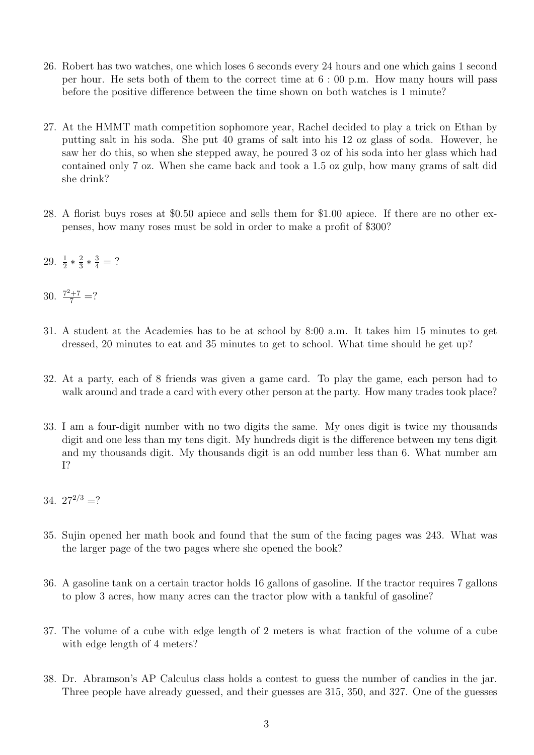- 26. Robert has two watches, one which loses 6 seconds every 24 hours and one which gains 1 second per hour. He sets both of them to the correct time at 6 : 00 p.m. How many hours will pass before the positive difference between the time shown on both watches is 1 minute?
- 27. At the HMMT math competition sophomore year, Rachel decided to play a trick on Ethan by putting salt in his soda. She put 40 grams of salt into his 12 oz glass of soda. However, he saw her do this, so when she stepped away, he poured 3 oz of his soda into her glass which had contained only 7 oz. When she came back and took a 1.5 oz gulp, how many grams of salt did she drink?
- 28. A florist buys roses at \$0.50 apiece and sells them for \$1.00 apiece. If there are no other expenses, how many roses must be sold in order to make a profit of \$300?
- 29.  $\frac{1}{2} * \frac{2}{3}$  $\frac{2}{3} * \frac{3}{4} = ?$
- 30.  $\frac{7^2+7}{7}$  =?
- 31. A student at the Academies has to be at school by 8:00 a.m. It takes him 15 minutes to get dressed, 20 minutes to eat and 35 minutes to get to school. What time should he get up?
- 32. At a party, each of 8 friends was given a game card. To play the game, each person had to walk around and trade a card with every other person at the party. How many trades took place?
- 33. I am a four-digit number with no two digits the same. My ones digit is twice my thousands digit and one less than my tens digit. My hundreds digit is the difference between my tens digit and my thousands digit. My thousands digit is an odd number less than 6. What number am I?
- 34.  $27^{2/3}$  =?
- 35. Sujin opened her math book and found that the sum of the facing pages was 243. What was the larger page of the two pages where she opened the book?
- 36. A gasoline tank on a certain tractor holds 16 gallons of gasoline. If the tractor requires 7 gallons to plow 3 acres, how many acres can the tractor plow with a tankful of gasoline?
- 37. The volume of a cube with edge length of 2 meters is what fraction of the volume of a cube with edge length of 4 meters?
- 38. Dr. Abramson's AP Calculus class holds a contest to guess the number of candies in the jar. Three people have already guessed, and their guesses are 315, 350, and 327. One of the guesses